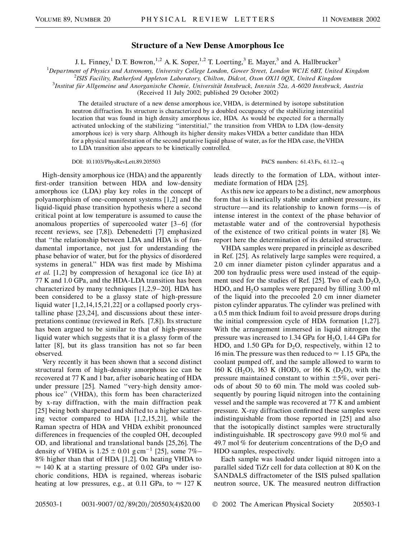## **Structure of a New Dense Amorphous Ice**

J. L. Finney,<sup>1</sup> D.T. Bowron,<sup>1,2</sup> A.K. Soper,<sup>1,2</sup> T. Loerting,<sup>3</sup> E. Mayer,<sup>3</sup> and A. Hallbrucker<sup>3</sup>

<sup>1</sup>Department of Physics and Astronomy, University College London, Gower Street, London WC1E 6BT, United Kingdom<br><sup>2</sup>ISIS Eacility, Butherford Appleton Laboratory, Chilton, Didcot, Oxon OX11,0OX, United Kingdom

*ISIS Facility, Rutherford Appleton Laboratory, Chilton, Didcot, Oxon OX11 0QX, United Kingdom* <sup>3</sup>

*Institut fu¨r Allgemeine und Anorganische Chemie, Universita¨t Innsbruck, Innrain 52a, A-6020 Innsbruck, Austria*

(Received 11 July 2002; published 29 October 2002)

The detailed structure of a new dense amorphous ice, VHDA, is determined by isotope substitution neutron diffraction. Its structure is characterized by a doubled occupancy of the stabilizing interstitial location that was found in high density amorphous ice, HDA. As would be expected for a thermally activated unlocking of the stabilizing ''interstitial,'' the transition from VHDA to LDA (low-density amorphous ice) is very sharp. Although its higher density makes VHDA a better candidate than HDA for a physical manifestation of the second putative liquid phase of water, as for the HDA case, theVHDA to LDA transition also appears to be kinetically controlled.

DOI: 10.1103/PhysRevLett.89.205503 PACS numbers: 61.43.Fs, 61.12.–q

High-density amorphous ice (HDA) and the apparently first-order transition between HDA and low-density amorphous ice (LDA) play key roles in the concept of polyamorphism of one-component systems [1,2] and the liquid-liquid phase transition hypothesis where a second critical point at low temperature is assumed to cause the anomalous properties of supercooled water [3–6] (for recent reviews, see [7,8]). Debenedetti [7] emphasized that ''the relationship between LDA and HDA is of fundamental importance, not just for understanding the phase behavior of water, but for the physics of disordered systems in general.'' HDA was first made by Mishima *et al.* [1,2] by compression of hexagonal ice (ice I*h*) at 77 K and 1.0 GPa, and the HDA-LDA transition has been characterized by many techniques [1,2,9–20]. HDA has been considered to be a glassy state of high-pressure liquid water [1,2,14,15,21,22] or a collapsed poorly crystalline phase [23,24], and discussions about these interpretations continue (reviewed in Refs. [7,8]). Its structure has been argued to be similar to that of high-pressure liquid water which suggests that it is a glassy form of the latter [8], but its glass transition has not so far been observed.

Very recently it has been shown that a second distinct structural form of high-density amorphous ice can be recovered at 77 K and 1 bar, after isobaric heating of HDA under pressure [25]. Named ''very-high density amorphous ice'' (VHDA), this form has been characterized by x-ray diffraction, with the main diffraction peak [25] being both sharpened and shifted to a higher scattering vector compared to HDA [1,2,15,21], while the Raman spectra of HDA and VHDA exhibit pronounced differences in frequencies of the coupled OH, decoupled OD, and librational and translational bands [25,26]. The density of VHDA is  $1.25 \pm 0.01$  g cm<sup>-1</sup> [25], some 7%– 8% higher than that of HDA [1,2]. On heating VHDA to  $\approx$  140 K at a starting pressure of 0.02 GPa under isochoric conditions, HDA is regained, whereas isobaric heating at low pressures, e.g., at 0.11 GPa, to  $\approx 127$  K leads directly to the formation of LDA, without intermediate formation of HDA [25].

As this new ice appears to be a distinct, new amorphous form that is kinetically stable under ambient pressure, its structure —and its relationship to known forms—is of intense interest in the context of the phase behavior of metastable water and of the controversial hypothesis of the existence of two critical points in water [8]. We report here the determination of its detailed structure.

VHDA samples were prepared in principle as described in Ref. [25]. As relatively large samples were required, a 2.0 cm inner diameter piston cylinder apparatus and a 200 ton hydraulic press were used instead of the equipment used for the studies of Ref. [25]. Two of each  $D_2O$ , HDO, and  $H_2O$  samples were prepared by filling 3.00 ml of the liquid into the precooled 2.0 cm inner diameter piston cylinder apparatus. The cylinder was prelined with a 0.5 mm thick Indium foil to avoid pressure drops during the initial compression cycle of HDA formation [1,27]. With the arrangement immersed in liquid nitrogen the pressure was increased to 1.34 GPa for  $H<sub>2</sub>O$ , 1.44 GPa for HDO, and 1.50 GPa for  $D_2O$ , respectively, within 12 to 16 min. The pressure was then reduced to  $\approx 1.15$  GPa, the coolant pumped off, and the sample allowed to warm to 160 K (H<sub>2</sub>O), 163 K (HOD), or 166 K (D<sub>2</sub>O), with the pressure maintained constant to within  $\pm 5\%$ , over periods of about 50 to 60 min. The mold was cooled subsequently by pouring liquid nitrogen into the containing vessel and the sample was recovered at 77 K and ambient pressure. X-ray diffraction confirmed these samples were indistinguishable from those reported in [25] and also that the isotopically distinct samples were structurally indistinguishable. IR spectroscopy gave 99.0 mol % and 49.7 mol % for deuterium concentrations of the  $D_2O$  and HDO samples, respectively.

Each sample was loaded under liquid nitrogen into a parallel sided TiZr cell for data collection at 80 K on the SANDALS diffractometer of the ISIS pulsed spallation neutron source, UK. The measured neutron diffraction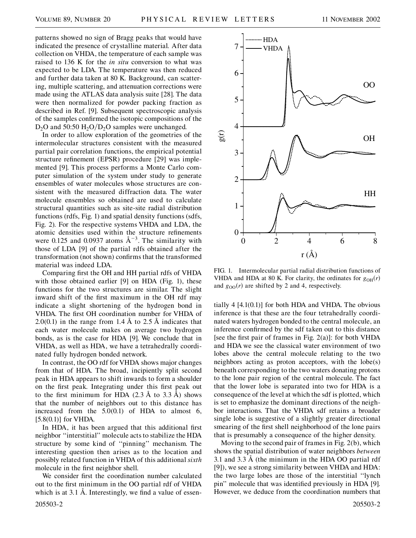patterns showed no sign of Bragg peaks that would have indicated the presence of crystalline material. After data collection on VHDA, the temperature of each sample was raised to 136 K for the *in situ* conversion to what was expected to be LDA. The temperature was then reduced and further data taken at 80 K. Background, can scattering, multiple scattering, and attenuation corrections were made using the ATLAS data analysis suite [28]. The data were then normalized for powder packing fraction as described in Ref. [9]. Subsequent spectroscopic analysis of the samples confirmed the isotopic compositions of the D<sub>2</sub>O and 50:50 H<sub>2</sub>O/D<sub>2</sub>O samples were unchanged.

In order to allow exploration of the geometries of the intermolecular structures consistent with the measured partial pair correlation functions, the empirical potential structure refinement (EPSR) procedure [29] was implemented [9]. This process performs a Monte Carlo computer simulation of the system under study to generate ensembles of water molecules whose structures are consistent with the measured diffraction data. The water molecule ensembles so obtained are used to calculate structural quantities such as site-site radial distribution functions (rdfs, Fig. 1) and spatial density functions (sdfs, Fig. 2). For the respective systems VHDA and LDA, the atomic densities used within the structure refinements were 0.125 and 0.0937 atoms  $A^{-3}$ . The similarity with those of LDA [9] of the partial rdfs obtained after the transformation (not shown) confirms that the transformed material was indeed LDA.

Comparing first the OH and HH partial rdfs of VHDA with those obtained earlier [9] on HDA (Fig. 1), these functions for the two structures are similar. The slight inward shift of the first maximum in the OH rdf may indicate a slight shortening of the hydrogen bond in VHDA. The first OH coordination number for VHDA of 2.0(0.1) in the range from 1*:*4 A to 2*:*5 A indicates that each water molecule makes on average two hydrogen bonds, as is the case for HDA [9]. We conclude that in VHDA, as well as HDA, we have a tetrahedrally coordinated fully hydrogen bonded network.

In contrast, the OO rdf for VHDA shows major changes from that of HDA. The broad, incipiently split second peak in HDA appears to shift inwards to form a shoulder on the first peak. Integrating under this first peak out to the first minimum for HDA (2*:*3 A to 3*:*3 A ) shows that the number of neighbors out to this distance has increased from the 5.0(0.1) of HDA to almost 6,  $[5.8(0.1)]$  for VHDA.

In HDA, it has been argued that this additional first neighbor ''interstitial'' molecule acts to stabilize the HDA structure by some kind of ''pinning'' mechanism. The interesting question then arises as to the location and possibly related function in VHDA of this additional *sixth* molecule in the first neighbor shell.

We consider first the coordination number calculated out to the first minimum in the OO partial rdf of VHDA which is at 3.1 Å. Interestingly, we find a value of essen-



FIG. 1. Intermolecular partial radial distribution functions of VHDA and HDA at 80 K. For clarity, the ordinates for  $g_{OH}(r)$ and  $g_{OO}(r)$  are shifted by 2 and 4, respectively.

tially  $4 \left[ 4.1(0.1) \right]$  for both HDA and VHDA. The obvious inference is that these are the four tetrahedrally coordinated waters hydrogen bonded to the central molecule, an inference confirmed by the sdf taken out to this distance [see the first pair of frames in Fig.  $2(a)$ ]: for both VHDA and HDA we see the classical water environment of two lobes above the central molecule relating to the two neighbors acting as proton acceptors, with the lobe(s) beneath corresponding to the two waters donating protons to the lone pair region of the central molecule. The fact that the lower lobe is separated into two for HDA is a consequence of the level at which the sdf is plotted, which is set to emphasize the dominant directions of the neighbor interactions. That the VHDA sdf retains a broader single lobe is suggestive of a slightly greater directional smearing of the first shell neighborhood of the lone pairs that is presumably a consequence of the higher density.

Moving to the second pair of frames in Fig. 2(b), which shows the spatial distribution of water neighbors *between* 3.1 and 3*:*3 A (the minimum in the HDA OO partial rdf [9]), we see a strong similarity between VHDA and HDA: the two large lobes are those of the interstitial ''lynch pin'' molecule that was identified previously in HDA [9]. However, we deduce from the coordination numbers that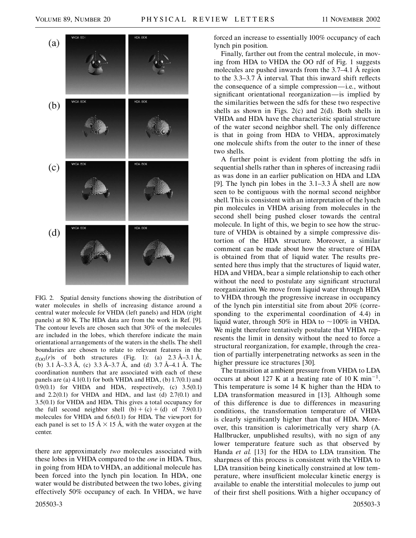

FIG. 2. Spatial density functions showing the distribution of water molecules in shells of increasing distance around a central water molecule for VHDA (left panels) and HDA (right panels) at 80 K. The HDA data are from the work in Ref. [9]. The contour levels are chosen such that 30% of the molecules are included in the lobes, which therefore indicate the main orientational arrangements of the waters in the shells. The shell boundaries are chosen to relate to relevant features in the  $g_{OO}(r)$ s of both structures (Fig. 1): (a) 2.3 Å–3.1 Å, (b) 3*:*1 A –3*:*3 A , (c) 3*:*3 A –3*:*7 A , and (d) 3*:*7 A –4*:*1 A . The coordination numbers that are associated with each of these panels are (a)  $4.1(0.1)$  for both VHDA and HDA, (b)  $1.7(0.1)$  and  $0.9(0.1)$  for VHDA and HDA, respectively, (c)  $3.5(0.1)$ and  $2.2(0.1)$  for VHDA and HDA, and last (d)  $2.7(0.1)$  and 3.5(0.1) for VHDA and HDA. This gives a total occupancy for the full second neighbor shell  $(b) + (c) + (d)$  of 7.9(0.1) molecules for VHDA and 6.6(0.1) for HDA. The viewport for each panel is set to 15  $\AA \times 15$  Å, with the water oxygen at the center.

there are approximately *two* molecules associated with these lobes in VHDA compared to the *one* in HDA. Thus, in going from HDA to VHDA, an additional molecule has been forced into the lynch pin location. In HDA, one water would be distributed between the two lobes, giving effectively 50% occupancy of each. In VHDA, we have forced an increase to essentially 100% occupancy of each lynch pin position.

Finally, farther out from the central molecule, in moving from HDA to VHDA the OO rdf of Fig. 1 suggests molecules are pushed inwards from the 3.7–4.1 Å region to the 3*:*3–3*:*7 A interval. That this inward shift reflects the consequence of a simple compression—i.e., without significant orientational reorganization—is implied by the similarities between the sdfs for these two respective shells as shown in Figs.  $2(c)$  and  $2(d)$ . Both shells in VHDA and HDA have the characteristic spatial structure of the water second neighbor shell. The only difference is that in going from HDA to VHDA, approximately one molecule shifts from the outer to the inner of these two shells.

A further point is evident from plotting the sdfs in sequential shells rather than in spheres of increasing radii as was done in an earlier publication on HDA and LDA [9]. The lynch pin lobes in the 3*:*1–3*:*3 A shell are now seen to be contiguous with the normal second neighbor shell. This is consistent with an interpretation of the lynch pin molecules in VHDA arising from molecules in the second shell being pushed closer towards the central molecule. In light of this, we begin to see how the structure of VHDA is obtained by a simple compressive distortion of the HDA structure. Moreover, a similar comment can be made about how the structure of HDA is obtained from that of liquid water. The results presented here thus imply that the structures of liquid water, HDA and VHDA, bear a simple relationship to each other without the need to postulate any significant structural reorganization. We move from liquid water through HDA to VHDA through the progressive increase in occupancy of the lynch pin interstitial site from about 20% (corresponding to the experimental coordination of 4.4) in liquid water, through 50% in HDA to  $\sim$ 100% in VHDA. We might therefore tentatively postulate that VHDA represents the limit in density without the need to force a structural reorganization, for example, through the creation of partially interpenetrating networks as seen in the higher pressure ice structures [30].

The transition at ambient pressure from VHDA to LDA occurs at about 127 K at a heating rate of 10 K min<sup>-1</sup>. This temperature is some 14 K higher than the HDA to LDA transformation measured in [13]. Although some of this difference is due to differences in measuring conditions, the transformation temperature of VHDA is clearly significantly higher than that of HDA. Moreover, this transition is calorimetrically very sharp (A. Hallbrucker, unpublished results), with no sign of any lower temperature feature such as that observed by Handa *et al.* [13] for the HDA to LDA transition. The sharpness of this process is consistent with the VHDA to LDA transition being kinetically constrained at low temperature, where insufficient molecular kinetic energy is available to enable the interstitial molecules to jump out of their first shell positions. With a higher occupancy of